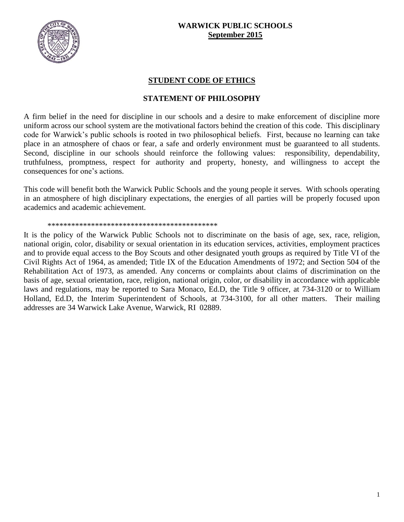

## **WARWICK PUBLIC SCHOOLS September 2015**

## **STUDENT CODE OF ETHICS**

## **STATEMENT OF PHILOSOPHY**

A firm belief in the need for discipline in our schools and a desire to make enforcement of discipline more uniform across our school system are the motivational factors behind the creation of this code. This disciplinary code for Warwick's public schools is rooted in two philosophical beliefs. First, because no learning can take place in an atmosphere of chaos or fear, a safe and orderly environment must be guaranteed to all students. Second, discipline in our schools should reinforce the following values: responsibility, dependability, truthfulness, promptness, respect for authority and property, honesty, and willingness to accept the consequences for one's actions.

This code will benefit both the Warwick Public Schools and the young people it serves. With schools operating in an atmosphere of high disciplinary expectations, the energies of all parties will be properly focused upon academics and academic achievement.

#### \*\*\*\*\*\*\*\*\*\*\*\*\*\*\*\*\*\*\*\*\*\*\*\*\*\*\*\*\*\*\*\*\*\*\*\*\*\*\*\*\*\*\*

It is the policy of the Warwick Public Schools not to discriminate on the basis of age, sex, race, religion, national origin, color, disability or sexual orientation in its education services, activities, employment practices and to provide equal access to the Boy Scouts and other designated youth groups as required by Title VI of the Civil Rights Act of 1964, as amended; Title IX of the Education Amendments of 1972; and Section 504 of the Rehabilitation Act of 1973, as amended. Any concerns or complaints about claims of discrimination on the basis of age, sexual orientation, race, religion, national origin, color, or disability in accordance with applicable laws and regulations, may be reported to Sara Monaco, Ed.D, the Title 9 officer, at 734-3120 or to William Holland, Ed.D, the Interim Superintendent of Schools, at 734-3100, for all other matters. Their mailing addresses are 34 Warwick Lake Avenue, Warwick, RI 02889.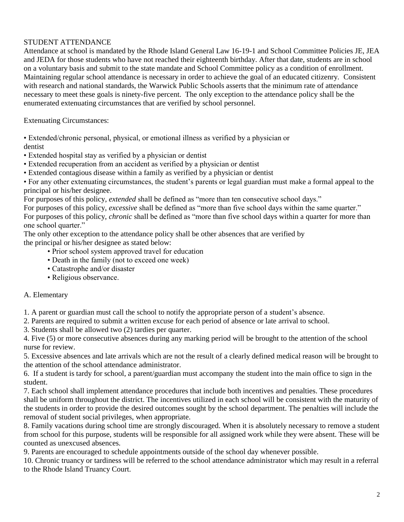## STUDENT ATTENDANCE

Attendance at school is mandated by the Rhode Island General Law 16-19-1 and School Committee Policies JE, JEA and JEDA for those students who have not reached their eighteenth birthday. After that date, students are in school on a voluntary basis and submit to the state mandate and School Committee policy as a condition of enrollment. Maintaining regular school attendance is necessary in order to achieve the goal of an educated citizenry. Consistent with research and national standards, the Warwick Public Schools asserts that the minimum rate of attendance necessary to meet these goals is ninety-five percent. The only exception to the attendance policy shall be the enumerated extenuating circumstances that are verified by school personnel.

Extenuating Circumstances:

• Extended/chronic personal, physical, or emotional illness as verified by a physician or

dentist

- Extended hospital stay as verified by a physician or dentist
- Extended recuperation from an accident as verified by a physician or dentist
- Extended contagious disease within a family as verified by a physician or dentist

• For any other extenuating circumstances, the student's parents or legal guardian must make a formal appeal to the principal or his/her designee.

For purposes of this policy, *extended* shall be defined as "more than ten consecutive school days."

For purposes of this policy, *excessive* shall be defined as "more than five school days within the same quarter."

For purposes of this policy, *chronic* shall be defined as "more than five school days within a quarter for more than one school quarter."

The only other exception to the attendance policy shall be other absences that are verified by the principal or his/her designee as stated below:

- Prior school system approved travel for education
- Death in the family (not to exceed one week)
- Catastrophe and/or disaster
- Religious observance.

## A. Elementary

1. A parent or guardian must call the school to notify the appropriate person of a student's absence.

2. Parents are required to submit a written excuse for each period of absence or late arrival to school.

3. Students shall be allowed two (2) tardies per quarter.

4. Five (5) or more consecutive absences during any marking period will be brought to the attention of the school nurse for review.

5. Excessive absences and late arrivals which are not the result of a clearly defined medical reason will be brought to the attention of the school attendance administrator.

6. If a student is tardy for school, a parent/guardian must accompany the student into the main office to sign in the student.

7. Each school shall implement attendance procedures that include both incentives and penalties. These procedures shall be uniform throughout the district. The incentives utilized in each school will be consistent with the maturity of the students in order to provide the desired outcomes sought by the school department. The penalties will include the removal of student social privileges, when appropriate.

8. Family vacations during school time are strongly discouraged. When it is absolutely necessary to remove a student from school for this purpose, students will be responsible for all assigned work while they were absent. These will be counted as unexcused absences.

9. Parents are encouraged to schedule appointments outside of the school day whenever possible.

10. Chronic truancy or tardiness will be referred to the school attendance administrator which may result in a referral to the Rhode Island Truancy Court.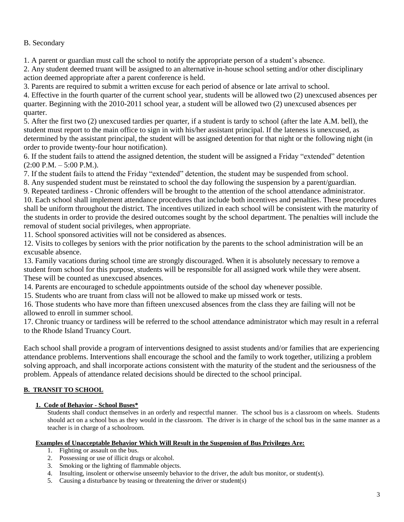## B. Secondary

1. A parent or guardian must call the school to notify the appropriate person of a student's absence.

2. Any student deemed truant will be assigned to an alternative in-house school setting and/or other disciplinary action deemed appropriate after a parent conference is held.

3. Parents are required to submit a written excuse for each period of absence or late arrival to school.

4. Effective in the fourth quarter of the current school year, students will be allowed two (2) unexcused absences per quarter. Beginning with the 2010-2011 school year, a student will be allowed two (2) unexcused absences per quarter.

5. After the first two (2) unexcused tardies per quarter, if a student is tardy to school (after the late A.M. bell), the student must report to the main office to sign in with his/her assistant principal. If the lateness is unexcused, as determined by the assistant principal, the student will be assigned detention for that night or the following night (in order to provide twenty-four hour notification).

6. If the student fails to attend the assigned detention, the student will be assigned a Friday "extended" detention  $(2:00 \text{ P.M.} - 5:00 \text{ P.M.}).$ 

7. If the student fails to attend the Friday "extended" detention, the student may be suspended from school.

8. Any suspended student must be reinstated to school the day following the suspension by a parent/guardian.

9. Repeated tardiness - Chronic offenders will be brought to the attention of the school attendance administrator.

10. Each school shall implement attendance procedures that include both incentives and penalties. These procedures shall be uniform throughout the district. The incentives utilized in each school will be consistent with the maturity of the students in order to provide the desired outcomes sought by the school department. The penalties will include the removal of student social privileges, when appropriate.

11. School sponsored activities will not be considered as absences.

12. Visits to colleges by seniors with the prior notification by the parents to the school administration will be an excusable absence.

13. Family vacations during school time are strongly discouraged. When it is absolutely necessary to remove a student from school for this purpose, students will be responsible for all assigned work while they were absent. These will be counted as unexcused absences.

14. Parents are encouraged to schedule appointments outside of the school day whenever possible.

15. Students who are truant from class will not be allowed to make up missed work or tests.

16. Those students who have more than fifteen unexcused absences from the class they are failing will not be allowed to enroll in summer school.

17. Chronic truancy or tardiness will be referred to the school attendance administrator which may result in a referral to the Rhode Island Truancy Court.

Each school shall provide a program of interventions designed to assist students and/or families that are experiencing attendance problems. Interventions shall encourage the school and the family to work together, utilizing a problem solving approach, and shall incorporate actions consistent with the maturity of the student and the seriousness of the problem. Appeals of attendance related decisions should be directed to the school principal.

## **B. TRANSIT TO SCHOOL**

## **1. Code of Behavior - School Buses\***

Students shall conduct themselves in an orderly and respectful manner. The school bus is a classroom on wheels. Students should act on a school bus as they would in the classroom. The driver is in charge of the school bus in the same manner as a teacher is in charge of a schoolroom.

## **Examples of Unacceptable Behavior Which Will Result in the Suspension of Bus Privileges Are:**

- 1. Fighting or assault on the bus.
- 2. Possessing or use of illicit drugs or alcohol.
- 3. Smoking or the lighting of flammable objects.
- 4. Insulting, insolent or otherwise unseemly behavior to the driver, the adult bus monitor, or student(s).
- 5. Causing a disturbance by teasing or threatening the driver or student(s)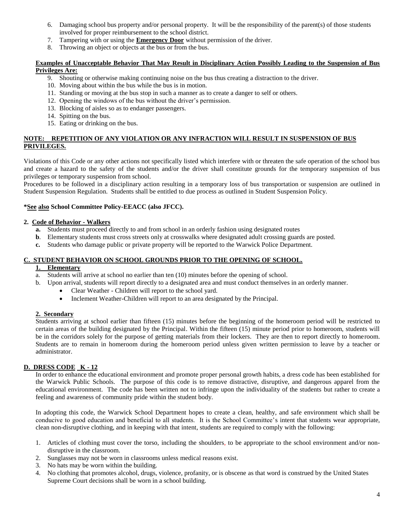- 6. Damaging school bus property and/or personal property. It will be the responsibility of the parent(s) of those students involved for proper reimbursement to the school district.
- 7. Tampering with or using the **Emergency Door** without permission of the driver.
- 8. Throwing an object or objects at the bus or from the bus.

### **Examples of Unacceptable Behavior That May Result in Disciplinary Action Possibly Leading to the Suspension of Bus Privileges Are:**

- 9. Shouting or otherwise making continuing noise on the bus thus creating a distraction to the driver.
- 10. Moving about within the bus while the bus is in motion.
- 11. Standing or moving at the bus stop in such a manner as to create a danger to self or others.
- 12. Opening the windows of the bus without the driver's permission.
- 13. Blocking of aisles so as to endanger passengers.
- 14. Spitting on the bus.
- 15. Eating or drinking on the bus.

### **NOTE: REPETITION OF ANY VIOLATION OR ANY INFRACTION WILL RESULT IN SUSPENSION OF BUS PRIVILEGES.**

Violations of this Code or any other actions not specifically listed which interfere with or threaten the safe operation of the school bus and create a hazard to the safety of the students and/or the driver shall constitute grounds for the temporary suspension of bus privileges or temporary suspension from school.

Procedures to be followed in a disciplinary action resulting in a temporary loss of bus transportation or suspension are outlined in Student Suspension Regulation. Students shall be entitled to due process as outlined in Student Suspension Policy.

### **\*See also School Committee Policy-EEACC (also JFCC).**

### **2. Code of Behavior - Walkers**

- **a.** Students must proceed directly to and from school in an orderly fashion using designated routes
- **b**. Elementary students must cross streets only at crosswalks where designated adult crossing guards are posted.
- **c.** Students who damage public or private property will be reported to the Warwick Police Department.

#### **C. STUDENT BEHAVIOR ON SCHOOL GROUNDS PRIOR TO THE OPENING OF SCHOOL.**

### **1. Elementary**

- a. Students will arrive at school no earlier than ten (10) minutes before the opening of school.
- b. Upon arrival, students will report directly to a designated area and must conduct themselves in an orderly manner.
	- Clear Weather Children will report to the school yard.
	- Inclement Weather-Children will report to an area designated by the Principal.

### **2. Secondary**

Students arriving at school earlier than fifteen (15) minutes before the beginning of the homeroom period will be restricted to certain areas of the building designated by the Principal. Within the fifteen (15) minute period prior to homeroom, students will be in the corridors solely for the purpose of getting materials from their lockers. They are then to report directly to homeroom. Students are to remain in homeroom during the homeroom period unless given written permission to leave by a teacher or administrator.

### **D. DRESS CODE K - 12**

In order to enhance the educational environment and promote proper personal growth habits, a dress code has been established for the Warwick Public Schools. The purpose of this code is to remove distractive, disruptive, and dangerous apparel from the educational environment. The code has been written not to infringe upon the individuality of the students but rather to create a feeling and awareness of community pride within the student body.

In adopting this code, the Warwick School Department hopes to create a clean, healthy, and safe environment which shall be conducive to good education and beneficial to all students. It is the School Committee's intent that students wear appropriate, clean non-disruptive clothing, and in keeping with that intent, students are required to comply with the following:

- 1. Articles of clothing must cover the torso, including the shoulders, to be appropriate to the school environment and/or nondisruptive in the classroom.
- 2. Sunglasses may not be worn in classrooms unless medical reasons exist.
- 3. No hats may be worn within the building.
- 4. No clothing that promotes alcohol, drugs, violence, profanity, or is obscene as that word is construed by the United States Supreme Court decisions shall be worn in a school building.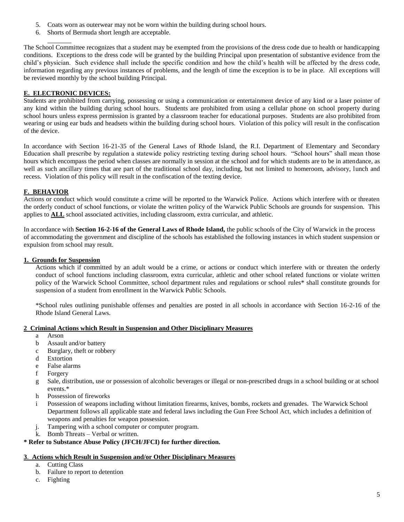- 5. Coats worn as outerwear may not be worn within the building during school hours.
- 6. Shorts of Bermuda short length are acceptable.

The School Committee recognizes that a student may be exempted from the provisions of the dress code due to health or handicapping conditions. Exceptions to the dress code will be granted by the building Principal upon presentation of substantive evidence from the child's physician. Such evidence shall include the specific condition and how the child's health will be affected by the dress code, information regarding any previous instances of problems, and the length of time the exception is to be in place. All exceptions will be reviewed monthly by the school building Principal.

### **E. ELECTRONIC DEVICES:**

Students are prohibited from carrying, possessing or using a communication or entertainment device of any kind or a laser pointer of any kind within the building during school hours. Students are prohibited from using a cellular phone on school property during school hours unless express permission is granted by a classroom teacher for educational purposes. Students are also prohibited from wearing or using ear buds and headsets within the building during school hours. Violation of this policy will result in the confiscation of the device.

In accordance with Section 16-21-35 of the General Laws of Rhode Island, the R.I. Department of Elementary and Secondary Education shall prescribe by regulation a statewide policy restricting texting during school hours. "School hours" shall mean those hours which encompass the period when classes are normally in session at the school and for which students are to be in attendance, as well as such ancillary times that are part of the traditional school day, including, but not limited to homeroom, advisory, lunch and recess. Violation of this policy will result in the confiscation of the texting device.

## **F. BEHAVIOR**

Actions or conduct which would constitute a crime will be reported to the Warwick Police. Actions which interfere with or threaten the orderly conduct of school functions, or violate the written policy of the Warwick Public Schools are grounds for suspension. This applies to **ALL** school associated activities, including classroom, extra curricular, and athletic.

In accordance with **Section 16-2-16 of the General Laws of Rhode Island,** the public schools of the City of Warwick in the process of accommodating the government and discipline of the schools has established the following instances in which student suspension or expulsion from school may result.

### **1. Grounds for Suspension**

Actions which if committed by an adult would be a crime, or actions or conduct which interfere with or threaten the orderly conduct of school functions including classroom, extra curricular, athletic and other school related functions or violate written policy of the Warwick School Committee, school department rules and regulations or school rules\* shall constitute grounds for suspension of a student from enrollment in the Warwick Public Schools.

\*School rules outlining punishable offenses and penalties are posted in all schools in accordance with Section 16-2-16 of the Rhode Island General Laws.

### **2 Criminal Actions which Result in Suspension and Other Disciplinary Measures**

- a Arson
- b Assault and/or battery
- c Burglary, theft or robbery
- d Extortion
- e False alarms
- f Forgery
- g Sale, distribution, use or possession of alcoholic beverages or illegal or non-prescribed drugs in a school building or at school events.\*
- h Possession of fireworks
- i Possession of weapons including without limitation firearms, knives, bombs, rockets and grenades. The Warwick School Department follows all applicable state and federal laws including the Gun Free School Act, which includes a definition of weapons and penalties for weapon possession.
- j. Tampering with a school computer or computer program.
- k. Bomb Threats Verbal or written.

### **\* Refer to Substance Abuse Policy (JFCH/JFCI) for further direction.**

### **3**. **Actions which Result in Suspension and/or Other Disciplinary Measures**

- a. Cutting Class
- b. Failure to report to detention
- c. Fighting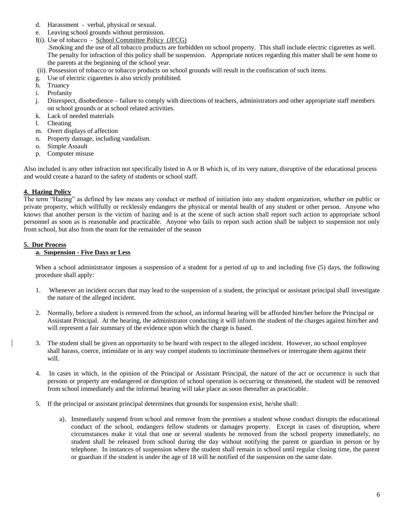- d. Harassment verbal, physical or sexual.
- e. Leaving school grounds without permission.
- f(i). Use of tobacco School Committee Policy (JFCG)

.Smoking and the use of all tobacco products are forbidden on school property. This shall include electric cigarettes as well. The penalty for infraction of this policy shall be suspension. Appropriate notices regarding this matter shall be sent home to the parents at the beginning of the school year.

- (ii). Possession of tobacco or tobacco products on school grounds will result in the confiscation of such items.
- g. Use of electric cigarettes is also strictly prohibited.
- h. Truancy
- i. Profanity
- j. Disrespect, disobedience failure to comply with directions of teachers, administrators and other appropriate staff members on school grounds or at school related activities.
- k. Lack of needed materials
- l. Cheating
- m. Overt displays of affection
- n. Property damage, including vandalism.
- o. Simple Assault
- p. Computer misuse

Also included is any other infraction not specifically listed in A or B which is, of its very nature, disruptive of the educational process and would create a hazard to the safety of students or school staff.

### **4. Hazing Policy**

The term "Hazing" as defined by law means any conduct or method of initiation into any student organization, whether on public or private property, which willfully or recklessly endangers the physical or mental health of any student or other person. Anyone who knows that another person is the victim of hazing and is at the scene of such action shall report such action to appropriate school personnel as soon as is reasonable and practicable. Anyone who fails to report such action shall be subject to suspension not only from school, but also from the team for the remainder of the season

### **5. Due Process**

#### **a. Suspension - Five Days or Less**

When a school administrator imposes a suspension of a student for a period of up to and including five (5) days, the following procedure shall apply:

- 1. Whenever an incident occurs that may lead to the suspension of a student, the principal or assistant principal shall investigate the nature of the alleged incident.
- 2. Normally, before a student is removed from the school, an informal hearing will be afforded him/her before the Principal or Assistant Principal. At the hearing, the administrator conducting it will inform the student of the charges against him/her and will represent a fair summary of the evidence upon which the charge is based.
- 3. The student shall be given an opportunity to be heard with respect to the alleged incident. However, no school employee shall harass, coerce, intimidate or in any way compel students to incriminate themselves or interrogate them against their will.
- 4. In cases in which, in the opinion of the Principal or Assistant Principal, the nature of the act or occurrence is such that persons or property are endangered or disruption of school operation is occurring or threatened, the student will be removed from school immediately and the informal hearing will take place as soon thereafter as practicable.
- 5. If the principal or assistant principal determines that grounds for suspension exist, he/she shall:
	- a). Immediately suspend from school and remove from the premises a student whose conduct disrupts the educational conduct of the school, endangers fellow students or damages property. Except in cases of disruption, where circumstances make it vital that one or several students be removed from the school property immediately, no student shall be released from school during the day without notifying the parent or guardian in person or by telephone. In instances of suspension where the student shall remain in school until regular closing time, the parent or guardian if the student is under the age of 18 will be notified of the suspension on the same date.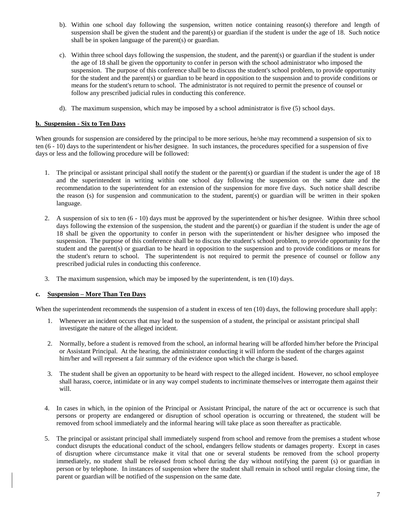- b). Within one school day following the suspension, written notice containing reason(s) therefore and length of suspension shall be given the student and the parent(s) or guardian if the student is under the age of 18. Such notice shall be in spoken language of the parent(s) or guardian.
- c). Within three school days following the suspension, the student, and the parent(s) or guardian if the student is under the age of 18 shall be given the opportunity to confer in person with the school administrator who imposed the suspension. The purpose of this conference shall be to discuss the student's school problem, to provide opportunity for the student and the parent(s) or guardian to be heard in opposition to the suspension and to provide conditions or means for the student's return to school. The administrator is not required to permit the presence of counsel or follow any prescribed judicial rules in conducting this conference.
- d). The maximum suspension, which may be imposed by a school administrator is five (5) school days.

#### **b. Suspension - Six to Ten Days**

When grounds for suspension are considered by the principal to be more serious, he/she may recommend a suspension of six to ten (6 - 10) days to the superintendent or his/her designee. In such instances, the procedures specified for a suspension of five days or less and the following procedure will be followed:

- 1. The principal or assistant principal shall notify the student or the parent(s) or guardian if the student is under the age of 18 and the superintendent in writing within one school day following the suspension on the same date and the recommendation to the superintendent for an extension of the suspension for more five days. Such notice shall describe the reason (s) for suspension and communication to the student, parent(s) or guardian will be written in their spoken language.
- 2. A suspension of six to ten (6 10) days must be approved by the superintendent or his/her designee. Within three school days following the extension of the suspension, the student and the parent(s) or guardian if the student is under the age of 18 shall be given the opportunity to confer in person with the superintendent or his/her designee who imposed the suspension. The purpose of this conference shall be to discuss the student's school problem, to provide opportunity for the student and the parent(s) or guardian to be heard in opposition to the suspension and to provide conditions or means for the student's return to school. The superintendent is not required to permit the presence of counsel or follow any prescribed judicial rules in conducting this conference.
- 3. The maximum suspension, which may be imposed by the superintendent, is ten (10) days.

#### **c. Suspension – More Than Ten Days**

When the superintendent recommends the suspension of a student in excess of ten (10) days, the following procedure shall apply:

- 1. Whenever an incident occurs that may lead to the suspension of a student, the principal or assistant principal shall investigate the nature of the alleged incident.
- 2. Normally, before a student is removed from the school, an informal hearing will be afforded him/her before the Principal or Assistant Principal. At the hearing, the administrator conducting it will inform the student of the charges against him/her and will represent a fair summary of the evidence upon which the charge is based.
- 3. The student shall be given an opportunity to be heard with respect to the alleged incident. However, no school employee shall harass, coerce, intimidate or in any way compel students to incriminate themselves or interrogate them against their will.
- 4. In cases in which, in the opinion of the Principal or Assistant Principal, the nature of the act or occurrence is such that persons or property are endangered or disruption of school operation is occurring or threatened, the student will be removed from school immediately and the informal hearing will take place as soon thereafter as practicable.
- 5. The principal or assistant principal shall immediately suspend from school and remove from the premises a student whose conduct disrupts the educational conduct of the school, endangers fellow students or damages property. Except in cases of disruption where circumstance make it vital that one or several students be removed from the school property immediately, no student shall be released from school during the day without notifying the parent (s) or guardian in person or by telephone. In instances of suspension where the student shall remain in school until regular closing time, the parent or guardian will be notified of the suspension on the same date.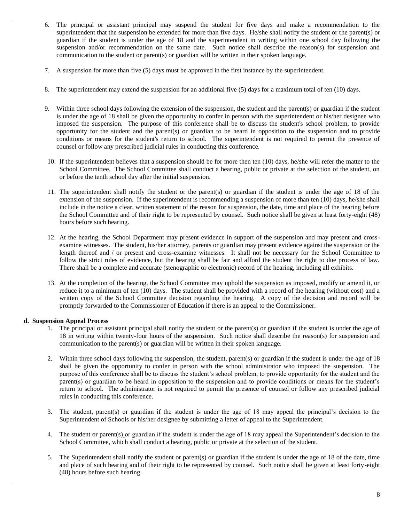- 6. The principal or assistant principal may suspend the student for five days and make a recommendation to the superintendent that the suspension be extended for more than five days. He/she shall notify the student or the parent(s) or guardian if the student is under the age of 18 and the superintendent in writing within one school day following the suspension and/or recommendation on the same date. Such notice shall describe the reason(s) for suspension and communication to the student or parent(s) or guardian will be written in their spoken language.
- 7. A suspension for more than five (5) days must be approved in the first instance by the superintendent.
- 8. The superintendent may extend the suspension for an additional five (5) days for a maximum total of ten (10) days.
- 9. Within three school days following the extension of the suspension, the student and the parent(s) or guardian if the student is under the age of 18 shall be given the opportunity to confer in person with the superintendent or his/her designee who imposed the suspension. The purpose of this conference shall be to discuss the student's school problem, to provide opportunity for the student and the parent(s) or guardian to be heard in opposition to the suspension and to provide conditions or means for the student's return to school. The superintendent is not required to permit the presence of counsel or follow any prescribed judicial rules in conducting this conference.
- 10. If the superintendent believes that a suspension should be for more then ten (10) days, he/she will refer the matter to the School Committee. The School Committee shall conduct a hearing, public or private at the selection of the student, on or before the tenth school day after the initial suspension.
- 11. The superintendent shall notify the student or the parent(s) or guardian if the student is under the age of 18 of the extension of the suspension. If the superintendent is recommending a suspension of more than ten (10) days, he/she shall include in the notice a clear, written statement of the reason for suspension, the date, time and place of the hearing before the School Committee and of their right to be represented by counsel. Such notice shall be given at least forty-eight (48) hours before such hearing.
- 12. At the hearing, the School Department may present evidence in support of the suspension and may present and crossexamine witnesses. The student, his/her attorney, parents or guardian may present evidence against the suspension or the length thereof and / or present and cross-examine witnesses. It shall not be necessary for the School Committee to follow the strict rules of evidence, but the hearing shall be fair and afford the student the right to due process of law. There shall be a complete and accurate (stenographic or electronic) record of the hearing, including all exhibits.
- 13. At the completion of the hearing, the School Committee may uphold the suspension as imposed, modify or amend it, or reduce it to a minimum of ten (10) days. The student shall be provided with a record of the hearing (without cost) and a written copy of the School Committee decision regarding the hearing. A copy of the decision and record will be promptly forwarded to the Commissioner of Education if there is an appeal to the Commissioner.

### **d. Suspension Appeal Process**

- 1. The principal or assistant principal shall notify the student or the parent(s) or guardian if the student is under the age of 18 in writing within twenty-four hours of the suspension. Such notice shall describe the reason(s) for suspension and communication to the parent(s) or guardian will be written in their spoken language.
- 2. Within three school days following the suspension, the student, parent(s) or guardian if the student is under the age of 18 shall be given the opportunity to confer in person with the school administrator who imposed the suspension. The purpose of this conference shall be to discuss the student's school problem, to provide opportunity for the student and the parent(s) or guardian to be heard in opposition to the suspension and to provide conditions or means for the student's return to school. The administrator is not required to permit the presence of counsel or follow any prescribed judicial rules in conducting this conference.
- 3. The student, parent(s) or guardian if the student is under the age of 18 may appeal the principal's decision to the Superintendent of Schools or his/her designee by submitting a letter of appeal to the Superintendent.
- 4. The student or parent(s) or guardian if the student is under the age of 18 may appeal the Superintendent's decision to the School Committee, which shall conduct a hearing, public or private at the selection of the student.
- 5. The Superintendent shall notify the student or parent(s) or guardian if the student is under the age of 18 of the date, time and place of such hearing and of their right to be represented by counsel. Such notice shall be given at least forty-eight (48) hours before such hearing.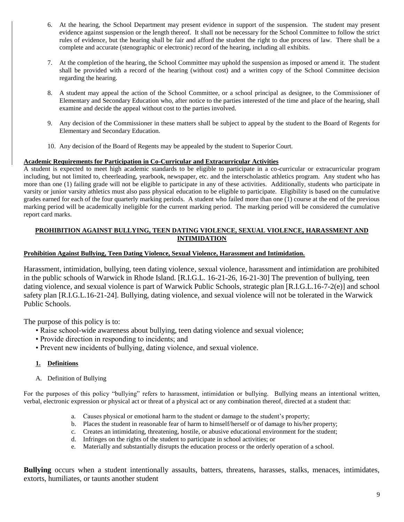- 6. At the hearing, the School Department may present evidence in support of the suspension. The student may present evidence against suspension or the length thereof. It shall not be necessary for the School Committee to follow the strict rules of evidence, but the hearing shall be fair and afford the student the right to due process of law. There shall be a complete and accurate (stenographic or electronic) record of the hearing, including all exhibits.
- 7. At the completion of the hearing, the School Committee may uphold the suspension as imposed or amend it. The student shall be provided with a record of the hearing (without cost) and a written copy of the School Committee decision regarding the hearing.
- 8. A student may appeal the action of the School Committee, or a school principal as designee, to the Commissioner of Elementary and Secondary Education who, after notice to the parties interested of the time and place of the hearing, shall examine and decide the appeal without cost to the parties involved.
- 9. Any decision of the Commissioner in these matters shall be subject to appeal by the student to the Board of Regents for Elementary and Secondary Education.
- 10. Any decision of the Board of Regents may be appealed by the student to Superior Court.

## **Academic Requirements for Participation in Co-Curricular and Extracurricular Activities**

A student is expected to meet high academic standards to be eligible to participate in a co-curricular or extracurricular program including, but not limited to, cheerleading, yearbook, newspaper, etc. and the interscholastic athletics program. Any student who has more than one (1) failing grade will not be eligible to participate in any of these activities. Additionally, students who participate in varsity or junior varsity athletics must also pass physical education to be eligible to participate. Eligibility is based on the cumulative grades earned for each of the four quarterly marking periods. A student who failed more than one (1) course at the end of the previous marking period will be academically ineligible for the current marking period. The marking period will be considered the cumulative report card marks.

### **PROHIBITION AGAINST BULLYING, TEEN DATING VIOLENCE, SEXUAL VIOLENCE, HARASSMENT AND INTIMIDATION**

### **Prohibition Against Bullying, Teen Dating Violence, Sexual Violence, Harassment and Intimidation.**

Harassment, intimidation, bullying, teen dating violence, sexual violence, harassment and intimidation are prohibited in the public schools of Warwick in Rhode Island. [R.I.G.L. 16-21-26, 16-21-30] The prevention of bullying, teen dating violence, and sexual violence is part of Warwick Public Schools, strategic plan [R.I.G.L.16-7-2(e)] and school safety plan [R.I.G.L.16-21-24]. Bullying, dating violence, and sexual violence will not be tolerated in the Warwick Public Schools.

The purpose of this policy is to:

- Raise school-wide awareness about bullying, teen dating violence and sexual violence;
- Provide direction in responding to incidents; and
- Prevent new incidents of bullying, dating violence, and sexual violence.

## **1. Definitions**

A. Definition of Bullying

For the purposes of this policy "bullying" refers to harassment, intimidation or bullying. Bullying means an intentional written, verbal, electronic expression or physical act or threat of a physical act or any combination thereof, directed at a student that:

- a. Causes physical or emotional harm to the student or damage to the student's property;
- b. Places the student in reasonable fear of harm to himself/herself or of damage to his/her property;
- c. Creates an intimidating, threatening, hostile, or abusive educational environment for the student;
- d. Infringes on the rights of the student to participate in school activities; or
- e. Materially and substantially disrupts the education process or the orderly operation of a school.

**Bullying** occurs when a student intentionally assaults, batters, threatens, harasses, stalks, menaces, intimidates, extorts, humiliates, or taunts another student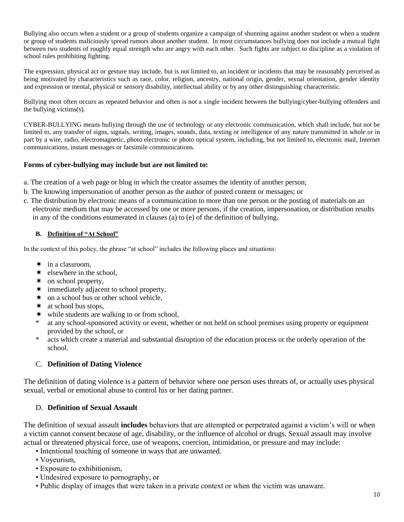Bullying also occurs when a student or a group of students organize a campaign of shunning against another student or when a student or group of students maliciously spread rumors about another student. In most circumstances bullying does not include a mutual fight between two students of roughly equal strength who are angry with each other. Such fights are subject to discipline as a violation of school rules prohibiting fighting.

The expression, physical act or gesture may include, but is not limited to, an incident or incidents that may be reasonably perceived as being motivated by characteristics such as race, color, religion, ancestry, national origin, gender, sexual orientation, gender identity and expression or mental, physical or sensory disability, intellectual ability or by any other distinguishing characteristic.

Bullying most often occurs as repeated behavior and often is not a single incident between the bullying/cyber-bullying offenders and the bullying victims(s).

CYBER-BULLYING means bullying through the use of technology or any electronic communication, which shall include, but not be limited to, any transfer of signs, signals, writing, images, sounds, data, texting or intelligence of any nature transmitted in whole or in part by a wire, radio, electromagnetic, photo electronic or photo optical system, including, but not limited to, electronic mail, Internet communications, instant messages or facsimile communications.

## **Forms of cyber**‐**bullying may include but are not limited to:**

- a. The creation of a web page or blog in which the creator assumes the identity of another person;
- b. The knowing impersonation of another person as the author of posted content or messages; or
- c. The distribution by electronic means of a communication to more than one person or the posting of materials on an electronic medium that may be accessed by one or more persons, if the creation, impersonation, or distribution results in any of the conditions enumerated in clauses (a) to (e) of the definition of bullying.

### **B. Definition of "At School"**

In the context of this policy, the phrase "at school" includes the following places and situations:

- $\star$  in a classroom,
- $\star$  elsewhere in the school,
- \* on school property,
- immediately adjacent to school property,
- \* on a school bus or other school vehicle,
- $\star$  at school bus stops.
- $\star$  while students are walking to or from school,
- at any school-sponsored activity or event, whether or not held on school premises using property or equipment provided by the school, or
- \* acts which create a material and substantial disruption of the education process or the orderly operation of the school.

## C. **Definition of Dating Violence**

The definition of dating violence is a pattern of behavior where one person uses threats of, or actually uses physical sexual, verbal or emotional abuse to control his or her dating partner.

## D. **Definition of Sexual Assault**

The definition of sexual assault **includes** behaviors that are attempted or perpetrated against a victim's will or when a victim cannot consent because of age, disability, or the influence of alcohol or drugs. Sexual assault may involve actual or threatened physical force, use of weapons, coercion, intimidation, or pressure and may include:

- Intentional touching of someone in ways that are unwanted.
- Voyeurism,
- Exposure to exhibitionism,
- Undesired exposure to pornography, or
- Public display of images that were taken in a private context or when the victim was unaware.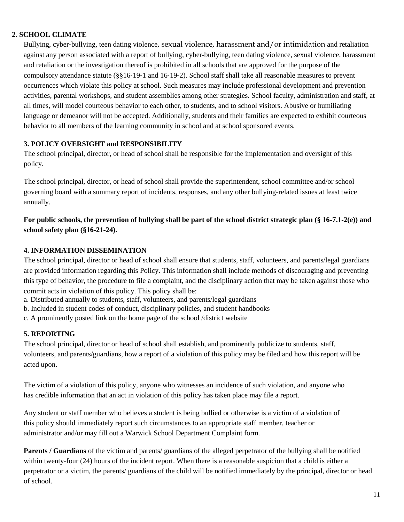## **2. SCHOOL CLIMATE**

Bullying, cyber‐bullying, teen dating violence, sexual violence, harassment and/or intimidation and retaliation against any person associated with a report of bullying, cyber-bullying, teen dating violence, sexual violence, harassment and retaliation or the investigation thereof is prohibited in all schools that are approved for the purpose of the compulsory attendance statute (§§16‐19‐1 and 16‐19‐2). School staff shall take all reasonable measures to prevent occurrences which violate this policy at school. Such measures may include professional development and prevention activities, parental workshops, and student assemblies among other strategies. School faculty, administration and staff, at all times, will model courteous behavior to each other, to students, and to school visitors. Abusive or humiliating language or demeanor will not be accepted. Additionally, students and their families are expected to exhibit courteous behavior to all members of the learning community in school and at school sponsored events.

## **3. POLICY OVERSIGHT and RESPONSIBILITY**

The school principal, director, or head of school shall be responsible for the implementation and oversight of this policy.

The school principal, director, or head of school shall provide the superintendent, school committee and/or school governing board with a summary report of incidents, responses, and any other bullying-related issues at least twice annually.

## **For public schools, the prevention of bullying shall be part of the school district strategic plan (§ 16**‐**7.1**‐**2(e)) and school safety plan (§16**‐**21**‐**24).**

## **4. INFORMATION DISSEMINATION**

The school principal, director or head of school shall ensure that students, staff, volunteers, and parents/legal guardians are provided information regarding this Policy. This information shall include methods of discouraging and preventing this type of behavior, the procedure to file a complaint, and the disciplinary action that may be taken against those who commit acts in violation of this policy. This policy shall be:

- a. Distributed annually to students, staff, volunteers, and parents/legal guardians
- b. Included in student codes of conduct, disciplinary policies, and student handbooks
- c. A prominently posted link on the home page of the school /district website

## **5. REPORTING**

The school principal, director or head of school shall establish, and prominently publicize to students, staff, volunteers, and parents/guardians, how a report of a violation of this policy may be filed and how this report will be acted upon.

The victim of a violation of this policy, anyone who witnesses an incidence of such violation, and anyone who has credible information that an act in violation of this policy has taken place may file a report.

Any student or staff member who believes a student is being bullied or otherwise is a victim of a violation of this policy should immediately report such circumstances to an appropriate staff member, teacher or administrator and/or may fill out a Warwick School Department Complaint form.

**Parents / Guardians** of the victim and parents/ guardians of the alleged perpetrator of the bullying shall be notified within twenty-four (24) hours of the incident report. When there is a reasonable suspicion that a child is either a perpetrator or a victim, the parents/ guardians of the child will be notified immediately by the principal, director or head of school.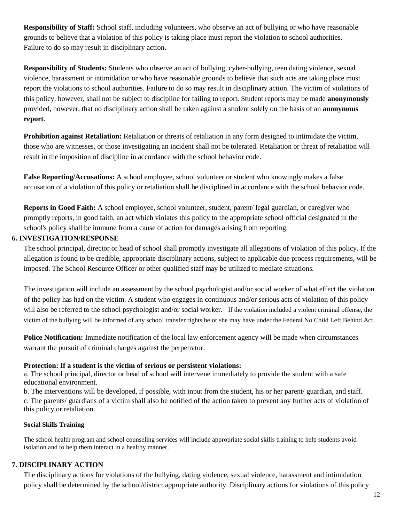**Responsibility of Staff:** School staff, including volunteers, who observe an act of bullying or who have reasonable grounds to believe that a violation of this policy is taking place must report the violation to school authorities. Failure to do so may result in disciplinary action.

**Responsibility of Students:** Students who observe an act of bullying, cyber-bullying, teen dating violence, sexual violence, harassment or intimidation or who have reasonable grounds to believe that such acts are taking place must report the violations to school authorities. Failure to do so may result in disciplinary action. The victim of violations of this policy, however, shall not be subject to discipline for failing to report. Student reports may be made **anonymously** provided, however, that no disciplinary action shall be taken against a student solely on the basis of an **anonymous report**.

**Prohibition against Retaliation:** Retaliation or threats of retaliation in any form designed to intimidate the victim, those who are witnesses, or those investigating an incident shall not be tolerated. Retaliation or threat of retaliation will result in the imposition of discipline in accordance with the school behavior code.

**False Reporting/Accusations:** A school employee, school volunteer or student who knowingly makes a false accusation of a violation of this policy or retaliation shall be disciplined in accordance with the school behavior code.

**Reports in Good Faith:** A school employee, school volunteer, student, parent/ legal guardian, or caregiver who promptly reports, in good faith, an act which violates this policy to the appropriate school official designated in the school's policy shall be immune from a cause of action for damages arising from reporting.

## **6. INVESTIGATION/RESPONSE**

The school principal, director or head of school shall promptly investigate all allegations of violation of this policy. If the allegation is found to be credible, appropriate disciplinary actions, subject to applicable due process requirements, will be imposed. The School Resource Officer or other qualified staff may be utilized to mediate situations.

The investigation will include an assessment by the school psychologist and/or social worker of what effect the violation of the policy has had on the victim. A student who engages in continuous and/or serious acts of violation of this policy will also be referred to the school psychologist and/or social worker. If the violation included a violent criminal offense, the victim of the bullying will be informed of any school transfer rights he or she may have under the Federal No Child Left Behind Act.

**Police Notification:** Immediate notification of the local law enforcement agency will be made when circumstances warrant the pursuit of criminal charges against the perpetrator.

## **Protection: If a student is the victim of serious or persistent violations:**

a. The school principal, director or head of school will intervene immediately to provide the student with a safe educational environment.

b. The interventions will be developed, if possible, with input from the student, his or her parent/ guardian, and staff. c. The parents/ guardians of a victim shall also be notified of the action taken to prevent any further acts of violation of this policy or retaliation.

## **Social Skills Training**

The school health program and school counseling services will include appropriate social skills training to help students avoid isolation and to help them interact in a healthy manner.

## **7. DISCIPLINARY ACTION**

The disciplinary actions for violations of the bullying, dating violence, sexual violence, harassment and intimidation policy shall be determined by the school/district appropriate authority. Disciplinary actions for violations of this policy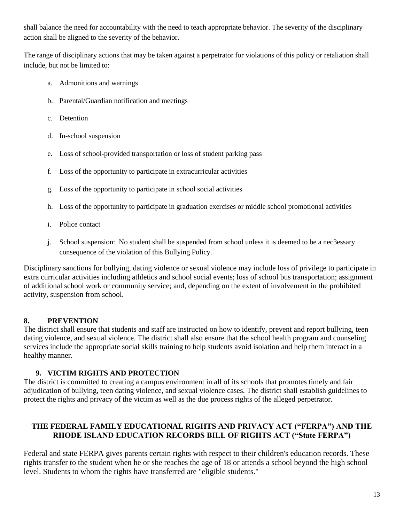shall balance the need for accountability with the need to teach appropriate behavior. The severity of the disciplinary action shall be aligned to the severity of the behavior.

The range of disciplinary actions that may be taken against a perpetrator for violations of this policy or retaliation shall include, but not be limited to:

- a. Admonitions and warnings
- b. Parental/Guardian notification and meetings
- c. Detention
- d. In-school suspension
- e. Loss of school-provided transportation or loss of student parking pass
- f. Loss of the opportunity to participate in extracurricular activities
- g. Loss of the opportunity to participate in school social activities
- h. Loss of the opportunity to participate in graduation exercises or middle school promotional activities
- i. Police contact
- j. School suspension: No student shall be suspended from school unless it is deemed to be a nec3essary consequence of the violation of this Bullying Policy.

Disciplinary sanctions for bullying, dating violence or sexual violence may include loss of privilege to participate in extra curricular activities including athletics and school social events; loss of school bus transportation; assignment of additional school work or community service; and, depending on the extent of involvement in the prohibited activity, suspension from school.

## **8. PREVENTION**

The district shall ensure that students and staff are instructed on how to identify, prevent and report bullying, teen dating violence, and sexual violence. The district shall also ensure that the school health program and counseling services include the appropriate social skills training to help students avoid isolation and help them interact in a healthy manner.

## **9. VICTIM RIGHTS AND PROTECTION**

The district is committed to creating a campus environment in all of its schools that promotes timely and fair adjudication of bullying, teen dating violence, and sexual violence cases. The district shall establish guidelines to protect the rights and privacy of the victim as well as the due process rights of the alleged perpetrator.

## **THE FEDERAL FAMILY EDUCATIONAL RIGHTS AND PRIVACY ACT ("FERPA") AND THE RHODE ISLAND EDUCATION RECORDS BILL OF RIGHTS ACT ("State FERPA")**

Federal and state FERPA gives parents certain rights with respect to their children's education records. These rights transfer to the student when he or she reaches the age of 18 or attends a school beyond the high school level. Students to whom the rights have transferred are "eligible students."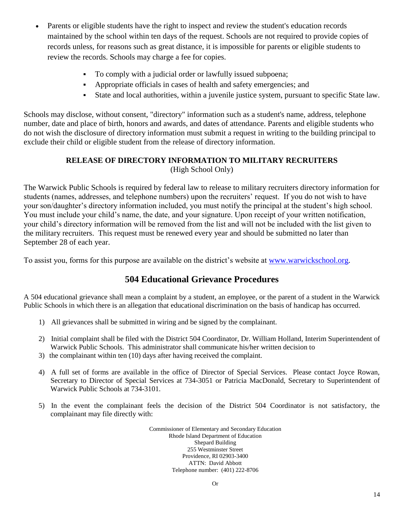- Parents or eligible students have the right to inspect and review the student's education records maintained by the school within ten days of the request. Schools are not required to provide copies of records unless, for reasons such as great distance, it is impossible for parents or eligible students to review the records. Schools may charge a fee for copies.
	- To comply with a judicial order or lawfully issued subpoena;
	- Appropriate officials in cases of health and safety emergencies; and
	- State and local authorities, within a juvenile justice system, pursuant to specific State law.

Schools may disclose, without consent, "directory" information such as a student's name, address, telephone number, date and place of birth, honors and awards, and dates of attendance. Parents and eligible students who do not wish the disclosure of directory information must submit a request in writing to the building principal to exclude their child or eligible student from the release of directory information.

## **RELEASE OF DIRECTORY INFORMATION TO MILITARY RECRUITERS** (High School Only)

The Warwick Public Schools is required by federal law to release to military recruiters directory information for students (names, addresses, and telephone numbers) upon the recruiters' request. If you do not wish to have your son/daughter's directory information included, you must notify the principal at the student's high school. You must include your child's name, the date, and your signature. Upon receipt of your written notification, your child's directory information will be removed from the list and will not be included with the list given to the military recruiters. This request must be renewed every year and should be submitted no later than September 28 of each year.

To assist you, forms for this purpose are available on the district's website at [www.warwickschool.org.](http://www.warwickschool.org/)

# **504 Educational Grievance Procedures**

A 504 educational grievance shall mean a complaint by a student, an employee, or the parent of a student in the Warwick Public Schools in which there is an allegation that educational discrimination on the basis of handicap has occurred.

- 1) All grievances shall be submitted in wiring and be signed by the complainant.
- 2) Initial complaint shall be filed with the District 504 Coordinator, Dr. William Holland, Interim Superintendent of Warwick Public Schools. This administrator shall communicate his/her written decision to
- 3) the complainant within ten (10) days after having received the complaint.
- 4) A full set of forms are available in the office of Director of Special Services. Please contact Joyce Rowan, Secretary to Director of Special Services at 734-3051 or Patricia MacDonald, Secretary to Superintendent of Warwick Public Schools at 734-3101.
- 5) In the event the complainant feels the decision of the District 504 Coordinator is not satisfactory, the complainant may file directly with:

Commissioner of Elementary and Secondary Education Rhode Island Department of Education Shepard Building 255 Westminster Street Providence, RI 02903-3400 ATTN: David Abbott Telephone number: (401) 222-8706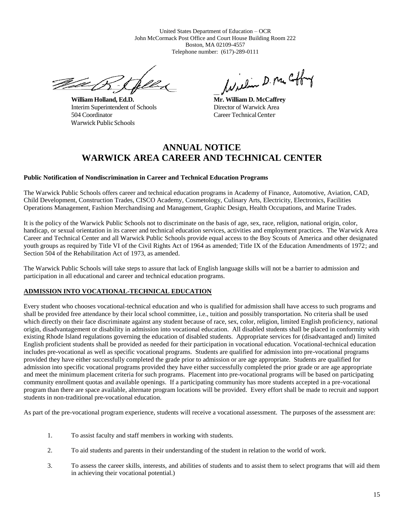United States Department of Education – OCR John McCormack Post Office and Court House Building Room 222 Boston, MA 02109-4557 Telephone number: (617)-289-0111

U Salvada Salvada Salvada Salvada Salvada Salvada Salvada Salvada Salvada Salvada Salvada Salvada Salvada Salv

**William Holland, Ed.D. Mr. William D. McCaffrey** Interim Superintendent of Schools Director of Warwick Area 504 Coordinator Career Technical Center Warwick Public Schools

faceline D. pre Coffing

# **ANNUAL NOTICE WARWICK AREA CAREER AND TECHNICAL CENTER**

#### **Public Notification of Nondiscrimination in Career and Technical Education Programs**

The Warwick Public Schools offers career and technical education programs in Academy of Finance, Automotive, Aviation, CAD, Child Development, Construction Trades, CISCO Academy, Cosmetology, Culinary Arts, Electricity, Electronics, Facilities Operations Management, Fashion Merchandising and Management, Graphic Design, Health Occupations, and Marine Trades.

It is the policy of the Warwick Public Schools not to discriminate on the basis of age, sex, race, religion, national origin, color, handicap, or sexual orientation in its career and technical education services, activities and employment practices. The Warwick Area Career and Technical Center and all Warwick Public Schools provide equal access to the Boy Scouts of America and other designated youth groups as required by Title VI of the Civil Rights Act of 1964 as amended; Title IX of the Education Amendments of 1972; and Section 504 of the Rehabilitation Act of 1973, as amended.

The Warwick Public Schools will take steps to assure that lack of English language skills will not be a barrier to admission and participation in all educational and career and technical education programs.

### **ADMISSION INTO VOCATIONAL-TECHNICAL EDUCATION**

Every student who chooses vocational-technical education and who is qualified for admission shall have access to such programs and shall be provided free attendance by their local school committee, i.e., tuition and possibly transportation. No criteria shall be used which directly on their face discriminate against any student because of race, sex, color, religion, limited English proficiency, national origin, disadvantagement or disability in admission into vocational education. All disabled students shall be placed in conformity with existing Rhode Island regulations governing the education of disabled students. Appropriate services for (disadvantaged and) limited English proficient students shall be provided as needed for their participation in vocational education. Vocational-technical education includes pre-vocational as well as specific vocational programs. Students are qualified for admission into pre-vocational programs provided they have either successfully completed the grade prior to admission or are age appropriate. Students are qualified for admission into specific vocational programs provided they have either successfully completed the prior grade or are age appropriate and meet the minimum placement criteria for such programs. Placement into pre-vocational programs will be based on participating community enrollment quotas and available openings. If a participating community has more students accepted in a pre-vocational program than there are space available, alternate program locations will be provided. Every effort shall be made to recruit and support students in non-traditional pre-vocational education.

As part of the pre-vocational program experience, students will receive a vocational assessment. The purposes of the assessment are:

- 1. To assist faculty and staff members in working with students.
- 2. To aid students and parents in their understanding of the student in relation to the world of work.
- 3. To assess the career skills, interests, and abilities of students and to assist them to select programs that will aid them in achieving their vocational potential.)